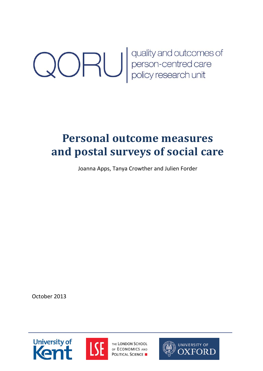**CORU** quality and outcomes of<br>person-centred care<br>policy research unit

# **Personal outcome measures and postal surveys of social care**

Joanna Apps, Tanya Crowther and Julien Forder

October 2013





THE LONDON SCHOOL OF ECONOMICS AND **POLITICAL SCIENCE** 

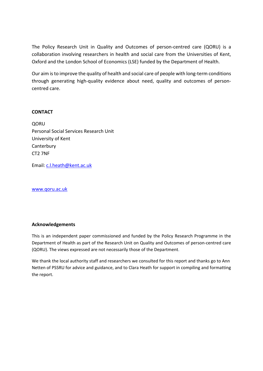The Policy Research Unit in Quality and Outcomes of person-centred care (QORU) is a collaboration involving researchers in health and social care from the Universities of Kent, Oxford and the London School of Economics (LSE) funded by the Department of Health.

Our aim is to improve the quality of health and social care of people with long-term conditions through generating high-quality evidence about need, quality and outcomes of personcentred care.

#### **CONTACT**

**OORU** Personal Social Services Research Unit University of Kent **Canterbury** CT2 7NF

Email: c.l.heath@kent.ac.uk

www.qoru.ac.uk

#### **Acknowledgements**

This is an independent paper commissioned and funded by the Policy Research Programme in the Department of Health as part of the Research Unit on Quality and Outcomes of person-centred care (QORU). The views expressed are not necessarily those of the Department.

We thank the local authority staff and researchers we consulted for this report and thanks go to Ann Netten of PSSRU for advice and guidance, and to Clara Heath for support in compiling and formatting the report.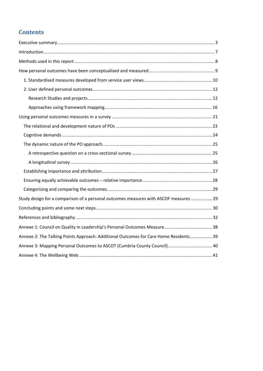# **Contents**

| Study design for a comparison of a personal outcomes measures with ASCOF measures  29 |  |
|---------------------------------------------------------------------------------------|--|
|                                                                                       |  |
|                                                                                       |  |
|                                                                                       |  |
| Annexe 2: The Talking Points Approach: Additional Outcomes for Care Home Residents 39 |  |
| Annexe 3: Mapping Personal Outcomes to ASCOT (Cumbria County Council)  40             |  |
|                                                                                       |  |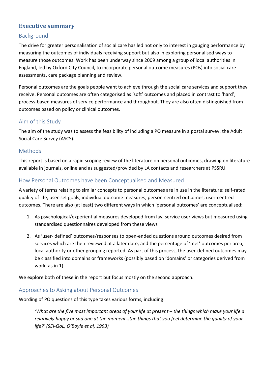## **Executive summary**

### Background

The drive for greater personalisation of social care has led not only to interest in gauging performance by measuring the outcomes of individuals receiving support but also in exploring personalised ways to measure those outcomes. Work has been underway since 2009 among a group of local authorities in England, led by Oxford City Council, to incorporate personal outcome measures (POs) into social care assessments, care package planning and review.

Personal outcomes are the goals people want to achieve through the social care services and support they receive. Personal outcomes are often categorised as 'soft' outcomes and placed in contrast to 'hard', process-based measures of service performance and throughput. They are also often distinguished from outcomes based on policy or clinical outcomes.

## Aim of this Study

The aim of the study was to assess the feasibility of including a PO measure in a postal survey: the Adult Social Care Survey (ASCS).

#### **Methods**

This report is based on a rapid scoping review of the literature on personal outcomes, drawing on literature available in journals, online and as suggested/provided by LA contacts and researchers at PSSRU.

## How Personal Outcomes have been Conceptualised and Measured

A variety of terms relating to similar concepts to personal outcomes are in use in the literature: self-rated quality of life, user-set goals, individual outcome measures, person-centred outcomes, user-centred outcomes. There are also (at least) two different ways in which 'personal outcomes' are conceptualised:

- 1. As psychological/experiential measures developed from lay, service user views but measured using standardised questionnaires developed from these views
- 2. As 'user- defined' outcomes/responses to open-ended questions around outcomes desired from services which are then reviewed at a later date, and the percentage of 'met' outcomes per area, local authority or other grouping reported. As part of this process, the user-defined outcomes may be classified into domains or frameworks (possibly based on 'domains' or categories derived from work, as in 1).

We explore both of these in the report but focus mostly on the second approach.

#### Approaches to Asking about Personal Outcomes

Wording of PO questions of this type takes various forms, including:

*'What are the five most important areas of your life at present – the things which make your life a relatively happy or sad one at the moment…the things that you feel determine the quality of your life?' (SEI-QoL, O'Boyle et al, 1993)*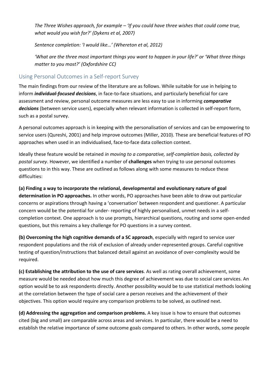*The Three Wishes approach, for example – 'If you could have three wishes that could come true, what would you wish for?' (Dykens et al, 2007)* 

*Sentence completion: 'I would like…' (Whereton et al, 2012)* 

*'What are the three most important things you want to happen in your life?' or 'What three things matter to you most?' (Oxfordshire CC)* 

## Using Personal Outcomes in a Self-report Survey

The main findings from our review of the literature are as follows. While suitable for use in helping to inform *individual-focused decisions*, in face-to-face situations, and particularly beneficial for care assessment and review, personal outcome measures are less easy to use in informing *comparative decisions* (between service users), especially when relevant information is collected in self-report form, such as a postal survey.

A personal outcomes approach is in keeping with the personalisation of services and can be empowering to service users (Qureshi, 2001) and help improve outcomes (Miller, 2010). These are beneficial features of PO approaches when used in an individualised, face-to-face data collection context.

Ideally these feature would be retained *in moving to a comparative, self-completion basis, collected by postal survey*. However, we identified a number of **challenges** when trying to use personal outcomes questions to in this way. These are outlined as follows along with some measures to reduce these difficulties:

**(a) Finding a way to incorporate the relational, developmental and evolutionary nature of goal determination in PO approaches.** In other words, PO approaches have been able to draw out particular concerns or aspirations through having a 'conversation' between respondent and questioner. A particular concern would be the potential for under- reporting of highly personalised, unmet needs in a selfcompletion context. One approach is to use prompts, hierarchical questions, routing and some open-ended questions, but this remains a key challenge for PO questions in a survey context.

**(b) Overcoming the high cognitive demands of a SC approach**, especially with regard to service user respondent populations and the risk of exclusion of already under-represented groups. Careful cognitive testing of question/instructions that balanced detail against an avoidance of over-complexity would be required.

**(c) Establishing the attribution to the use of care services**. As well as rating overall achievement, some measure would be needed about how much this degree of achievement was due to social care services. An option would be to ask respondents directly. Another possibility would be to use statistical methods looking at the correlation between the type of social care a person receives and the achievement of their objectives. This option would require any comparison problems to be solved, as outlined next.

**(d) Addressing the aggregation and comparison problems.** A key issue is how to ensure that outcomes cited (big and small) are comparable across areas and services. In particular, there would be a need to establish the relative importance of some outcome goals compared to others. In other words, some people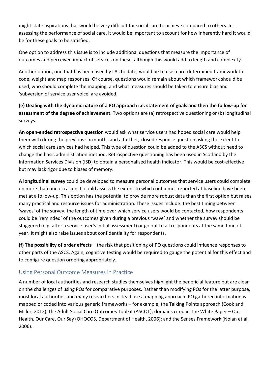might state aspirations that would be very difficult for social care to achieve compared to others. In assessing the performance of social care, it would be important to account for how inherently hard it would be for these goals to be satisfied.

One option to address this issue is to include additional questions that measure the importance of outcomes and perceived impact of services on these, although this would add to length and complexity.

Another option, one that has been used by LAs to date, would be to use a pre-determined framework to code, weight and map responses. Of course, questions would remain about which framework should be used, who should complete the mapping, and what measures should be taken to ensure bias and 'subversion of service user voice' are avoided.

**(e) Dealing with the dynamic nature of a PO approach i.e. statement of goals and then the follow-up for assessment of the degree of achievement.** Two options are (a) retrospective questioning or (b) longitudinal surveys.

**An open-ended retrospective question** would ask what service users had hoped social care would help them with during the previous six months and a further, closed response question asking the extent to which social care services had helped. This type of question could be added to the ASCS without need to change the basic administration method. Retrospective questioning has been used in Scotland by the Information Services Division (ISD) to obtain a personalised health indicator. This would be cost-effective but may lack rigor due to biases of memory.

**A longitudinal survey** could be developed to measure personal outcomes that service users could complete on more than one occasion. It could assess the extent to which outcomes reported at baseline have been met at a follow-up. This option has the potential to provide more robust data than the first option but raises many practical and resource issues for administration. These issues include: the best timing between 'waves' of the survey, the length of time over which service users would be contacted, how respondents could be 'reminded' of the outcomes given during a previous 'wave' and whether the survey should be staggered (e.g. after a service user's initial assessment) or go out to all respondents at the same time of year. It might also raise issues about confidentiality for respondents.

**(f) The possibility of order effects** – the risk that positioning of PO questions could influence responses to other parts of the ASCS. Again, cognitive testing would be required to gauge the potential for this effect and to configure question ordering appropriately.

# Using Personal Outcome Measures in Practice

A number of local authorities and research studies themselves highlight the beneficial feature but are clear on the challenges of using POs for comparative purposes. Rather than modifying POs for the latter purpose, most local authorities and many researchers instead use a mapping approach. PO gathered information is mapped or coded into various generic frameworks – for example, the Talking Points approach (Cook and Miller, 2012); the Adult Social Care Outcomes Toolkit (ASCOT); domains cited in The White Paper – Our Health, Our Care, Our Say (OHOCOS, Department of Health, 2006); and the Senses Framework (Nolan et al, 2006).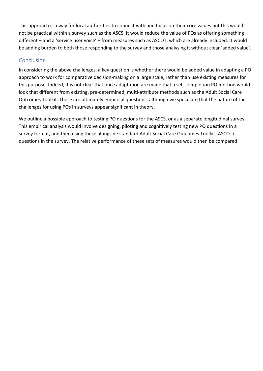This approach is a way for local authorities to connect with and focus on their core values but this would not be practical within a survey such as the ASCS. It would reduce the value of POs as offering something different – and a 'service user voice' – from measures such as ASCOT, which are already included. It would be adding burden to both those responding to the survey and those analysing it without clear 'added value'.

## **Conclusion**

In considering the above challenges, a key question is whether there would be added value in adapting a PO approach to work for comparative decision-making on a large scale, rather than use existing measures for this purpose. Indeed, it is not clear that once adaptation are made that a self-completion PO method would look that different from existing, pre-determined, multi-attribute methods such as the Adult Social Care Outcomes Toolkit. These are ultimately empirical questions, although we speculate that the nature of the challenges for using POs in surveys appear significant in theory.

We outline a possible approach to testing PO questions for the ASCS, or as a separate longitudinal survey. This empirical analysis would involve designing, piloting and cognitively testing new PO questions in a survey format, and then using these alongside standard Adult Social Care Outcomes Toolkit (ASCOT) questions in the survey. The relative performance of these sets of measures would then be compared.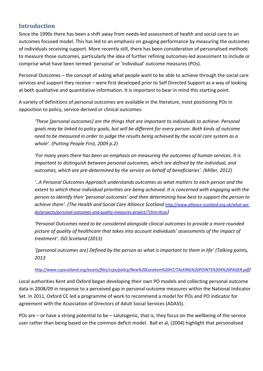# **Introduction**

Since the 1990s there has been a shift away from needs-led assessment of health and social care to an outcomes focused model. This has led to an emphasis on gauging performance by measuring the outcomes of individuals receiving support. More recently still, there has been consideration of personalised methods to measure those outcomes, particularly the idea of further refining outcomes-led assessment to include or comprise what have been termed 'personal' or 'individual' outcome measures (POs).

Personal Outcomes – the concept of asking what people want to be able to achieve through the social care services and support they receive – were first developed prior to Self Directed Support as a way of looking at both qualitative and quantitative information. It is important to bear in mind this starting point.

A variety of definitions of personal outcomes are available in the literature, most positioning POs in opposition to policy, service-derived or clinical outcomes:

*'These [personal outcomes] are the things that are important to individuals to achieve. Personal goals may be linked to policy goals, but will be different for every person. Both kinds of outcome need to be measured in order to judge the results being achieved by the social care system as a whole'. (Putting People First, 2009 p.2)* 

*'For many years there has been an emphasis on measuring the outcomes of human services. It is important to distinguish between personal outcomes, which are defined by the individual, and outcomes, which are pre-determined by the service on behalf of beneficiaries'. (Miller, 2012)* 

*'..A Personal Outcomes Approach understands outcomes as what matters to each person and the extent to which these individual priorities are being achieved. It is concerned with engaging with the person to identify their 'personal outcomes' and then determining how best to support the person to achieve them'. (The Health and Social Care Alliance Scotland http://www.alliance-scotland.org.uk/what-wedo/projects/personal-outcomes-and-quality-measures-project/?rfrm=ltcas)* 

*'Personal Outcomes need to be considered alongside clinical outcomes to provide a more rounded picture of quality of healthcare that takes into account individuals' assessments of the impact of treatment'. ISD Scotland (2013)*

*'[personal outcomes are] Defined by the person as what is important to them in life' (Talking points, 2013* 

#### *http://www.ccpscotland.org/assets/files/ccps/policy/New%20Localism%20HT/TALKING%20POINTS%204%20PAGER.pdf)*

Local authorities Kent and Oxford began developing their own PO models and collecting personal outcome data in 2008/09 in response to a perceived gap in personal outcome measures within the National Indicator Set. In 2011, Oxford CC led a programme of work to recommend a model for POs and PO indicator for agreement with the Association of Directors of Adult Social Services (ADASS).

POs are – or have a strong potential to be – salutogenic, that is, they focus on the wellbeing of the service user rather than being based on the common deficit model. Ball et al, (2004) highlight that personalised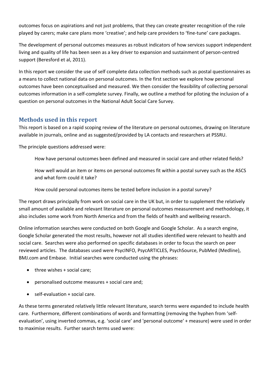outcomes focus on aspirations and not just problems, that they can create greater recognition of the role played by carers; make care plans more 'creative'; and help care providers to 'fine-tune' care packages.

The development of personal outcomes measures as robust indicators of how services support independent living and quality of life has been seen as a key driver to expansion and sustainment of person-centred support (Beresford et al, 2011).

In this report we consider the use of self complete data collection methods such as postal questionnaires as a means to collect national data on personal outcomes. In the first section we explore how personal outcomes have been conceptualised and measured. We then consider the feasibility of collecting personal outcomes information in a self-complete survey. Finally, we outline a method for piloting the inclusion of a question on personal outcomes in the National Adult Social Care Survey.

## **Methods used in this report**

This report is based on a rapid scoping review of the literature on personal outcomes, drawing on literature available in journals, online and as suggested/provided by LA contacts and researchers at PSSRU.

The principle questions addressed were:

How have personal outcomes been defined and measured in social care and other related fields?

How well would an item or items on personal outcomes fit within a postal survey such as the ASCS and what form could it take?

How could personal outcomes items be tested before inclusion in a postal survey?

The report draws principally from work on social care in the UK but, in order to supplement the relatively small amount of available and relevant literature on personal outcomes measurement and methodology, it also includes some work from North America and from the fields of health and wellbeing research.

Online information searches were conducted on both Google and Google Scholar. As a search engine, Google Scholar generated the most results, however not all studies identified were relevant to health and social care. Searches were also performed on specific databases in order to focus the search on peer reviewed articles. The databases used were PsycINFO, PsycARTICLES, PsychSource, PubMed (Medline), BMJ.com and Embase. Initial searches were conducted using the phrases:

- $\bullet$  three wishes  $+$  social care:
- personalised outcome measures + social care and;
- self-evaluation + social care.

As these terms generated relatively little relevant literature, search terms were expanded to include health care. Furthermore, different combinations of words and formatting (removing the hyphen from 'selfevaluation', using inverted commas, e.g. 'social care' and 'personal outcome' + measure) were used in order to maximise results. Further search terms used were: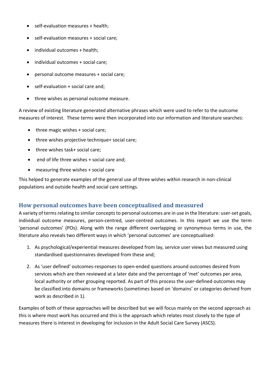- self-evaluation measures + health;
- self-evaluation measures + social care;
- individual outcomes + health;
- individual outcomes + social care;
- personal outcome measures + social care;
- self-evaluation + social care and;
- three wishes as personal outcome measure.

A review of existing literature generated alternative phrases which were used to refer to the outcome measures of interest. These terms were then incorporated into our information and literature searches:

- $\bullet$  three magic wishes  $+$  social care;
- three wishes projective technique+ social care;
- three wishes task+ social care;
- end of life three wishes + social care and;
- measuring three wishes + social care

This helped to generate examples of the general use of three wishes within research in non-clinical populations and outside health and social care settings.

#### **How personal outcomes have been conceptualised and measured**

A variety of terms relating to similar concepts to personal outcomes are in use in the literature: user-set goals, individual outcome measures, person-centred, user-centred outcomes. In this report we use the term 'personal outcomes' (POs). Along with the range different overlapping or synonymous terms in use, the literature also reveals two different ways in which 'personal outcomes' are conceptualised:

- 1. As psychological/experiential measures developed from lay, service user views but measured using standardised questionnaires developed from these and;
- 2. As 'user defined' outcomes-responses to open-ended questions around outcomes desired from services which are then reviewed at a later date and the percentage of 'met' outcomes per area, local authority or other grouping reported. As part of this process the user-defined outcomes may be classified into domains or frameworks (sometimes based on 'domains' or categories derived from work as described in 1).

Examples of both of these approaches will be described but we will focus mainly on the second approach as this is where most work has occurred and this is the approach which relates most closely to the type of measures there is interest in developing for inclusion in the Adult Social Care Survey (ASCS).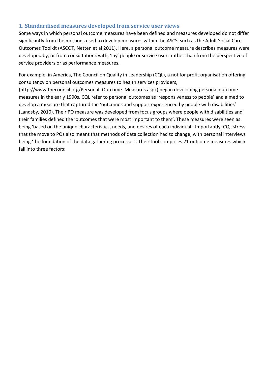#### **1. Standardised measures developed from service user views**

Some ways in which personal outcome measures have been defined and measures developed do not differ significantly from the methods used to develop measures within the ASCS, such as the Adult Social Care Outcomes Toolkit (ASCOT, Netten et al 2011). Here, a personal outcome measure describes measures were developed by, or from consultations with, 'lay' people or service users rather than from the perspective of service providers or as performance measures.

For example, in America, The Council on Quality in Leadership (CQL), a not for profit organisation offering consultancy on personal outcomes measures to health services providers,

(http://www.thecouncil.org/Personal\_Outcome\_Measures.aspx) began developing personal outcome measures in the early 1990s. CQL refer to personal outcomes as 'responsiveness to people' and aimed to develop a measure that captured the 'outcomes and support experienced by people with disabilities' (Landsby, 2010). Their PO measure was developed from focus groups where people with disabilities and their families defined the 'outcomes that were most important to them'. These measures were seen as being 'based on the unique characteristics, needs, and desires of each individual.' Importantly, CQL stress that the move to POs also meant that methods of data collection had to change, with personal interviews being 'the foundation of the data gathering processes'. Their tool comprises 21 outcome measures which fall into three factors: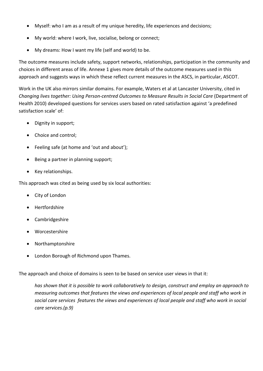- Myself: who I am as a result of my unique heredity, life experiences and decisions;
- My world: where I work, live, socialise, belong or connect;
- My dreams: How I want my life (self and world) to be.

The outcome measures include safety, support networks, relationships, participation in the community and choices in different areas of life. Annexe 1 gives more details of the outcome measures used in this approach and suggests ways in which these reflect current measures in the ASCS, in particular, ASCOT.

Work in the UK also mirrors similar domains. For example, Waters et al at Lancaster University, cited in *Changing lives together: Using Person-centred Outcomes to Measure Results in Social Care* (Department of Health 2010) developed questions for services users based on rated satisfaction against 'a predefined satisfaction scale' of:

- Dignity in support;
- Choice and control;
- Feeling safe (at home and 'out and about');
- Being a partner in planning support;
- Key relationships.

This approach was cited as being used by six local authorities:

- City of London
- Hertfordshire
- Cambridgeshire
- Worcestershire
- Northamptonshire
- London Borough of Richmond upon Thames.

The approach and choice of domains is seen to be based on service user views in that it:

*has shown that it is possible to work collaboratively to design, construct and employ an approach to measuring outcomes that features the views and experiences of local people and staff who work in social care services features the views and experiences of local people and staff who work in social care services.(p.9)*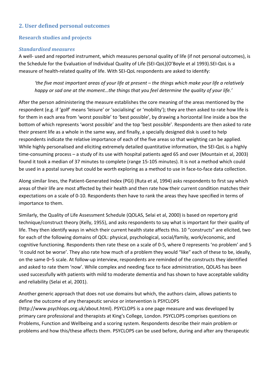## **2. User defined personal outcomes**

#### **Research studies and projects**

#### *Standardised measures*

A well- used and reported instrument, which measures personal quality of life (if not personal outcomes), is the Schedule for the Evaluation of Individual Quality of Life (SEI-QoL)(O'Boyle et al 1993).SEI-QoL is a measure of health-related quality of life. With SEI-QoL respondents are asked to identify:

*'the five most important areas of your life at present – the things which make your life a relatively happy or sad one at the moment…the things that you feel determine the quality of your life.'* 

After the person administering the measure establishes the core meaning of the areas mentioned by the respondent (e.g. if 'golf' means 'leisure' or 'socialising' or 'mobility'); they are then asked to rate how life is for them in each area from 'worst possible' to 'best possible', by drawing a horizontal line inside a box the bottom of which represents 'worst possible' and the top 'best possible'. Respondents are then asked to rate their present life as a whole in the same way, and finally, a specially designed disk is used to help respondents indicate the relative importance of each of the five areas so that weighting can be applied. While highly personalised and eliciting extremely detailed quantitative information, the SEI-QoL is a highly time-consuming process – a study of its use with hospital patients aged 65 and over (Mountain et al, 2003) found it took a median of 37 minutes to complete (range 15-105 minutes). It is not a method which could be used in a postal survey but could be worth exploring as a method to use in face-to-face data collection.

Along similar lines, the Patient-Generated Index (PGI) (Ruta et al, 1994) asks respondents to first say which areas of their life are most affected by their health and then rate how their current condition matches their expectations on a scale of 0-10. Respondents then have to rank the areas they have specified in terms of importance to them.

Similarly, the Quality of Life Assessment Schedule (QOLAS, Selai et al, 2000) is based on repertory grid technique/construct theory (Kelly, 1955), and asks respondents to say what is important for their quality of life. They then identify ways in which their current health state affects this. 10 "constructs" are elicited, two for each of the following domains of QOL: physical, psychological, social/family, work/economic, and cognitive functioning. Respondents then rate these on a scale of 0-5, where 0 represents 'no problem' and 5 'it could not be worse'. They also rate how much of a problem they would "like" each of these to be, ideally, on the same 0–5 scale. At follow-up interview, respondents are reminded of the constructs they identified and asked to rate them 'now'. While complex and needing face to face administration, QOLAS has been used successfully with patients with mild to moderate dementia and has shown to have acceptable validity and reliability (Selai et al, 2001).

Another generic approach that does not use domains but which, the authors claim, allows patients to define the outcome of any therapeutic service or intervention is PSYCLOPS (http://www.psychlops.org.uk/about.html). PSYCLOPS is a one page measure and was developed by primary care professional and therapists at King's College, London. PSYCLOPS comprises questions on Problems, Function and Wellbeing and a scoring system. Respondents describe their main problem or problems and how this/these affects them. PSYCLOPS can be used before, during and after any therapeutic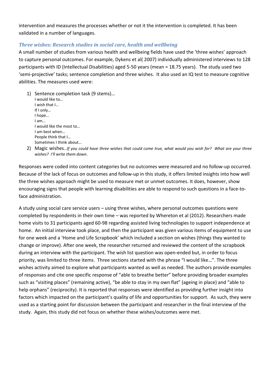intervention and measures the processes whether or not it the intervention is completed. It has been validated in a number of languages.

#### *Three wishes: Research studies in social care, health and wellbeing*

A small number of studies from various health and wellbeing fields have used the 'three wishes' approach to capture personal outcomes. For example, Dykens et al( 2007) individually administered interviews to 128 participants with ID (Intellectual Disabilities) aged 5-50 years (mean = 18.75 years). The study used two 'semi-projective' tasks; sentence completion and three wishes. It also used an IQ test to measure cognitive abilities. The measures used were:

- 1) Sentence completion task (9 stems)… I would like to… I wish that I… If I only… I hope… I am… I would like the most to… I am best when… People think that I… Sometimes I think about…
- 2) Magic wishes…*If you could have three wishes that could come true, what would you wish for? What are your three wishes? I'll write them down*.

Responses were coded into content categories but no outcomes were measured and no follow-up occurred. Because of the lack of focus on outcomes and follow-up in this study, it offers limited insights into how well the three wishes approach might be used to measure met or unmet outcomes. It does, however, show encouraging signs that people with learning disabilities are able to respond to such questions in a face-toface administration.

A study using social care service users – using three wishes, where personal outcomes questions were completed by respondents in their own time – was reported by Whereton et al (2012). Researchers made home visits to 31 participants aged 60-98 regarding assisted living technologies to support independence at home. An initial interview took place, and then the participant was given various items of equipment to use for one week and a 'Home and Life Scrapbook' which included a section on wishes (things they wanted to change or improve). After one week, the researcher returned and reviewed the content of the scrapbook during an interview with the participant. The wish list question was open-ended but, in order to focus priority, was limited to three items. Three sections started with the phrase "I would like…". The three wishes activity aimed to explore what participants wanted as well as needed. The authors provide examples of responses and cite one specific response of "able to breathe better" before providing broader examples such as "visiting places" (remaining active), "be able to stay in my own flat" (ageing in place) and "able to help orphans" (reciprocity). It is reported that responses were identified as providing further insight into factors which impacted on the participant's quality of life and opportunities for support. As such, they were used as a starting point for discussion between the participant and researcher in the final interview of the study. Again, this study did not focus on whether these wishes/outcomes were met.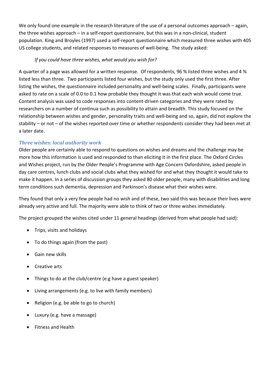We only found one example in the research literature of the use of a personal outcomes approach – again, the three wishes approach – in a self-report questionnaire, but this was in a non-clinical, student population. King and Broyles (1997) used a self-report questionnaire which measured three wishes with 405 US college students, and related responses to measures of well-being. The study asked:

#### *If you could have three wishes, what would you wish for?*

A quarter of a page was allowed for a written response. Of respondents, 96 % listed three wishes and 4 % listed less than three. Two participants listed four wishes, but the study only used the first three. After listing the wishes, the questionnaire included personality and well-being scales. Finally, participants were asked to rate on a scale of 0.0 to 0.1 how probable they thought it was that each wish would come true. Content analysis was used to code responses into content-driven categories and they were rated by researchers on a number of continua such as possibility to attain and breadth. This study focused on the relationship between wishes and gender, personality traits and well-being and so, again, did not explore the stability – or not – of the wishes reported over time or whether respondents consider they had been met at a later date.

## *Three wishes: local authority work*

Older people are certainly able to respond to questions on wishes and dreams and the challenge may be more how this information is used and responded to than eliciting it in the first place. The Oxford Circles and Wishes project, run by the Older People's Programme with Age Concern Oxfordshire, asked people in day care centres, lunch clubs and social clubs what they wished for and what they thought it would take to make it happen. In a series of discussion groups they asked 80 older people, many with disabilities and long term conditions such dementia, depression and Parkinson's disease what their wishes were.

They found that only a very few people had no wish and of these, two said this was because their lives were already very active and full. The majority were able to think of two or three wishes immediately.

The project grouped the wishes cited under 11 general headings (derived from what people had said):

- Trips, visits and holidays
- To do things again (from the past)
- Gain new skills
- Creative arts
- Things to do at the club/centre (e.g have a guest speaker)
- Living arrangements (e.g. to live with family members)
- Religion (e.g. be able to go to church)
- Luxury (e.g. have a massage)
- Fitness and Health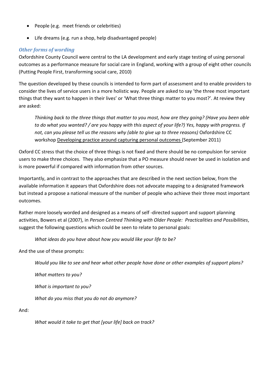- People (e.g. meet friends or celebrities)
- Life dreams (e.g. run a shop, help disadvantaged people)

#### *Other forms of wording*

Oxfordshire County Council were central to the LA development and early stage testing of using personal outcomes as a performance measure for social care in England, working with a group of eight other councils (Putting People First, transforming social care, 2010)

The question developed by these councils is intended to form part of assessment and to enable providers to consider the lives of service users in a more holistic way. People are asked to say 'the three most important things that they want to happen in their lives' or 'What three things matter to you most?'. At review they are asked:

*Thinking back to the three things that matter to you most, how are they going? (Have you been able to do what you wanted? / are you happy with this aspect of your life?) Yes, happy with progress. If*  not, can you please tell us the reasons why (able to give up to three reasons) Oxfordshire CC workshop Developing practice around capturing personal outcomes (September 2011)

Oxford CC stress that the choice of three things is not fixed and there should be no compulsion for service users to make three choices. They also emphasize that a PO measure should never be used in isolation and is more powerful if compared with information from other sources.

Importantly, and in contrast to the approaches that are described in the next section below, from the available information it appears that Oxfordshire does not advocate mapping to a designated framework but instead a propose a national measure of the number of people who achieve their three most important outcomes.

Rather more loosely worded and designed as a means of self -directed support and support planning activities, Bowers et al (2007), in *Person Centred Thinking with Older People: Practicalities and Possibilities*, suggest the following questions which could be seen to relate to personal goals:

*What ideas do you have about how you would like your life to be?* 

And the use of these prompts:

*Would you like to see and hear what other people have done or other examples of support plans?* 

*What matters to you?* 

*What is important to you?* 

*What do you miss that you do not do anymore?* 

And:

*What would it take to get that [your life] back on track?*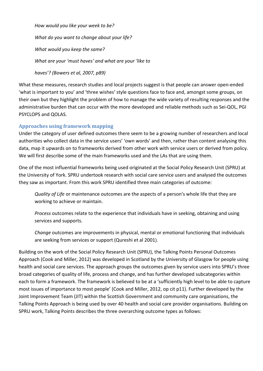*How would you like your week to be? What do you want to change about your life? What would you keep the same? What are your 'must haves' and what are your 'like to haves'? (Bowers et al, 2007, p89)* 

What these measures, research studies and local projects suggest is that people can answer open-ended 'what is important to you' and 'three wishes' style questions face to face and, amongst some groups, on their own but they highlight the problem of how to manage the wide variety of resulting responses and the administrative burden that can occur with the more developed and reliable methods such as Sei-QOL, PGI PSYCLOPS and QOLAS.

#### **Approaches using framework mapping**

Under the category of user defined outcomes there seem to be a growing number of researchers and local authorities who collect data in the service users' 'own words' and then, rather than content analysing this data, map it upwards on to frameworks derived from other work with service users or derived from policy. We will first describe some of the main frameworks used and the LAs that are using them.

One of the most influential frameworks being used originated at the Social Policy Research Unit (SPRU) at the University of York. SPRU undertook research with social care service users and analysed the outcomes they saw as important. From this work SPRU identified three main categories of outcome:

*Quality of Life* or maintenance outcomes are the aspects of a person's whole life that they are working to achieve or maintain.

*Process* outcomes relate to the experience that individuals have in seeking, obtaining and using services and supports.

*Change* outcomes are improvements in physical, mental or emotional functioning that individuals are seeking from services or support (Qureshi et al 2001).

Building on the work of the Social Policy Research Unit (SPRU), the Talking Points Personal Outcomes Approach (Cook and Miller, 2012) was developed in Scotland by the University of Glasgow for people using health and social care services. The approach groups the outcomes given by service users into SPRU's three broad categories of quality of life, process and change, and has further developed subcategories within each to form a framework. The framework is believed to be at a 'sufficiently high level to be able to capture most issues of importance to most people' (Cook and Miller, 2012, op cit p11). Further developed by the Joint Improvement Team (JIT) within the Scottish Government and community care organisations, the Talking Points Approach is being used by over 40 health and social care provider organisations. Building on SPRU work, Talking Points describes the three overarching outcome types as follows: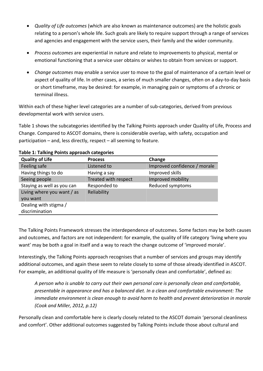- *Quality of Life outcomes* (which are also known as maintenance outcomes) are the holistic goals relating to a person's whole life. Such goals are likely to require support through a range of services and agencies and engagement with the service users, their family and the wider community.
- *Process outcomes* are experiential in nature and relate to improvements to physical, mental or emotional functioning that a service user obtains or wishes to obtain from services or support.
- *Change outcomes* may enable a service user to move to the goal of maintenance of a certain level or aspect of quality of life. In other cases, a series of much smaller changes, often on a day-to-day basis or short timeframe, may be desired: for example, in managing pain or symptoms of a chronic or terminal illness.

Within each of these higher level categories are a number of sub-categories, derived from previous developmental work with service users.

Table 1 shows the subcategories identified by the Talking Points approach under Quality of Life, Process and Change. Compared to ASCOT domains, there is considerable overlap, with safety, occupation and participation – and, less directly, respect – all seeming to feature.

| Table 1. Taiking Follits apploatil tategories |                      |                              |
|-----------------------------------------------|----------------------|------------------------------|
| <b>Quality of Life</b>                        | <b>Process</b>       | Change                       |
| Feeling safe                                  | Listened to          | Improved confidence / morale |
| Having things to do                           | Having a say         | Improved skills              |
| Seeing people                                 | Treated with respect | Improved mobility            |
| Staying as well as you can                    | Responded to         | Reduced symptoms             |
| Living where you want / as                    | Reliability          |                              |
| you want                                      |                      |                              |
| Dealing with stigma /                         |                      |                              |
| discrimination                                |                      |                              |

#### **Table 1: Talking Points approach categories**

The Talking Points Framework stresses the interdependence of outcomes. Some factors may be both causes and outcomes, and factors are not independent: for example, the quality of life category 'living where you want' may be both a goal in itself and a way to reach the change outcome of 'improved morale'.

Interestingly, the Talking Points approach recognises that a number of services and groups may identify additional outcomes, and again these seem to relate closely to some of those already identified in ASCOT. For example, an additional quality of life measure is 'personally clean and comfortable', defined as:

*A person who is unable to carry out their own personal care is personally clean and comfortable, presentable in appearance and has a balanced diet. In a clean and comfortable environment: The immediate environment is clean enough to avoid harm to health and prevent deterioration in morale (Cook and Miller, 2012, p.12)* 

Personally clean and comfortable here is clearly closely related to the ASCOT domain 'personal cleanliness and comfort'. Other additional outcomes suggested by Talking Points include those about cultural and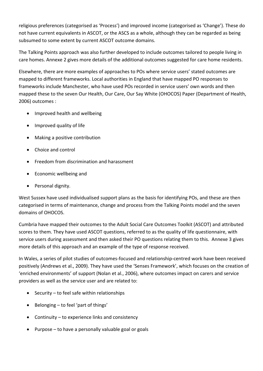religious preferences (categorised as 'Process') and improved income (categorised as 'Change'). These do not have current equivalents in ASCOT, or the ASCS as a whole, although they can be regarded as being subsumed to some extent by current ASCOT outcome domains.

The Talking Points approach was also further developed to include outcomes tailored to people living in care homes. Annexe 2 gives more details of the additional outcomes suggested for care home residents.

Elsewhere, there are more examples of approaches to POs where service users' stated outcomes are mapped to different frameworks. Local authorities in England that have mapped PO responses to frameworks include Manchester, who have used POs recorded in service users' own words and then mapped these to the seven Our Health, Our Care, Our Say White (OHOCOS) Paper (Department of Health, 2006) outcomes :

- Improved health and wellbeing
- Improved quality of life
- Making a positive contribution
- Choice and control
- Freedom from discrimination and harassment
- Economic wellbeing and
- Personal dignity.

West Sussex have used individualised support plans as the basis for identifying POs, and these are then categorised in terms of maintenance, change and process from the Talking Points model and the seven domains of OHOCOS.

Cumbria have mapped their outcomes to the Adult Social Care Outcomes Toolkit (ASCOT) and attributed scores to them. They have used ASCOT questions, referred to as the quality of life questionnaire, with service users during assessment and then asked their PO questions relating them to this. Annexe 3 gives more details of this approach and an example of the type of response received.

In Wales, a series of pilot studies of outcomes-focused and relationship-centred work have been received positively (Andrews et al., 2009). They have used the 'Senses Framework', which focuses on the creation of 'enriched environments' of support (Nolan et al., 2006), where outcomes impact on carers and service providers as well as the service user and are related to:

- $\bullet$  Security to feel safe within relationships
- Belonging to feel 'part of things'
- Continuity to experience links and consistency
- Purpose to have a personally valuable goal or goals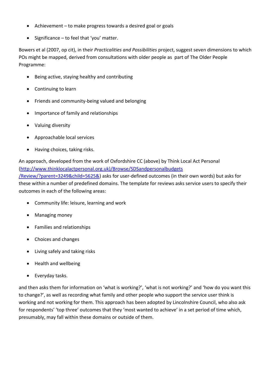- Achievement to make progress towards a desired goal or goals
- Significance to feel that 'you' matter.

Bowers et al (2007, op cit), in their *Practicalities and Possibilities* project, suggest seven dimensions to which POs might be mapped, derived from consultations with older people as part of The Older People Programme:

- Being active, staying healthy and contributing
- Continuing to learn
- Friends and community-being valued and belonging
- Importance of family and relationships
- Valuing diversity
- Approachable local services
- Having choices, taking risks.

An approach, developed from the work of Oxfordshire CC (above) by Think Local Act Personal (http://www.thinklocalactpersonal.org.uk)/Browse/SDSandpersonalbudgets

/Review/?parent=3249&child=5625&) asks for user-defined outcomes (in their own words) but asks for these within a number of predefined domains. The template for reviews asks service users to specify their outcomes in each of the following areas:

- Community life: leisure, learning and work
- Managing money
- Families and relationships
- Choices and changes
- Living safely and taking risks
- Health and wellbeing
- Everyday tasks.

and then asks them for information on 'what is working?', 'what is not working?' and 'how do you want this to change?', as well as recording what family and other people who support the service user think is working and not working for them. This approach has been adopted by Lincolnshire Council, who also ask for respondents' 'top three' outcomes that they 'most wanted to achieve' in a set period of time which, presumably, may fall within these domains or outside of them.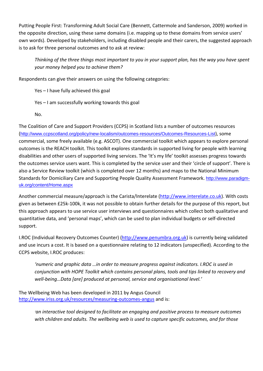Putting People First: Transforming Adult Social Care (Bennett, Cattermole and Sanderson, 2009) worked in the opposite direction, using these same domains (i.e. mapping up to these domains from service users' own words). Developed by stakeholders, including disabled people and their carers, the suggested approach is to ask for three personal outcomes and to ask at review:

*Thinking of the three things most important to you in your support plan, has the way you have spent your money helped you to achieve them?* 

Respondents can give their answers on using the following categories:

Yes – I have fully achieved this goal

Yes – I am successfully working towards this goal

No.

The Coalition of Care and Support Providers (CCPS) in Scotland lists a number of outcomes resources (http://www.ccpscotland.org/policy/new-localism/outcomes-resources/Outcomes-Resources-List), some commercial, some freely available (e.g. ASCOT). One commercial toolkit which appears to explore personal outcomes is the REACH toolkit. This toolkit explores standards in supported living for people with learning disabilities and other users of supported living services. The 'It's my life' toolkit assesses progress towards the outcomes service users want. This is completed by the service user and their 'circle of support'. There is also a Service Review toolkit (which is completed over 12 months) and maps to the National Minimum Standards for Domiciliary Care and Supporting People Quality Assessment Framework. http://www.paradigmuk.org/content/Home.aspx

Another commercial measure/approach is the Carista/Interelate (http://www.interelate.co.uk). With costs given as between £25k-100k, it was not possible to obtain further details for the purpose of this report, but this approach appears to use service user interviews and questionnaires which collect both qualitative and quantitative data, and 'personal maps', which can be used to plan individual budgets or self-directed support.

I.ROC (Individual Recovery Outcomes Counter) (http://www.penumbra.org.uk) is currently being validated and use incurs a cost. It is based on a questionnaire relating to 12 indicators (unspecified). According to the CCPS website, I.ROC produces:

*'numeric and graphic data …in order to measure progress against indicators. I.ROC is used in conjunction with HOPE Toolkit which contains personal plans, tools and tips linked to recovery and well-being…Data [are] produced at personal, service and organisational level.'* 

The Wellbeing Web has been developed in 2011 by Angus Council http://www.iriss.org.uk/resources/measuring-outcomes-angus and is:

> *'an interactive tool designed to facilitate an engaging and positive process to measure outcomes with children and adults. The wellbeing web is used to capture specific outcomes, and for those*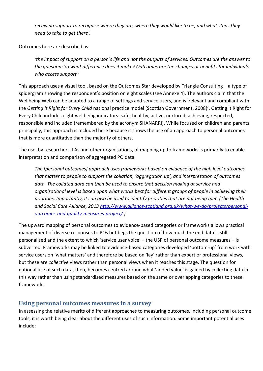*receiving support to recognise where they are, where they would like to be, and what steps they need to take to get there'.* 

Outcomes here are described as:

*'the impact of support on a person's life and not the outputs of services. Outcomes are the answer to the question: So what difference does it make? Outcomes are the changes or benefits for individuals who access support.'* 

This approach uses a visual tool, based on the Outcomes Star developed by Triangle Consulting – a type of spidergram showing the respondent's position on eight scales (see Annexe 4). The authors claim that the Wellbeing Web can be adapted to a range of settings and service users, and is 'relevant and compliant with the *Getting it Right for Every Child* national practice model (Scottish Government, 2008)'. Getting it Right for Every Child includes eight wellbeing indicators: safe, healthy, active, nurtured, achieving, respected, responsible and included (remembered by the acronym SHANARRI). While focused on children and parents principally, this approach is included here because it shows the use of an approach to personal outcomes that is more quantitative than the majority of others.

The use, by researchers, LAs and other organisations, of mapping up to frameworks is primarily to enable interpretation and comparison of aggregated PO data:

*The [personal outcomes] approach uses frameworks based on evidence of the high level outcomes that matter to people to support the collation, 'aggregation up', and interpretation of outcomes data. The collated data can then be used to ensure that decision making at service and organisational level is based upon what works best for different groups of people in achieving their priorities. Importantly, it can also be used to identify priorities that are not being met. (The Health and Social Care Alliance, 2013 http://www.alliance-scotland.org.uk/what-we-do/projects/personaloutcomes-and-quality-measures-project/ )* 

The upward mapping of personal outcomes to evidence-based categories or frameworks allows practical management of diverse responses to POs but begs the question of how much the end data is still personalised and the extent to which 'service user voice' – the USP of personal outcome measures – is subverted. Frameworks may be linked to evidence-based categories developed 'bottom-up' from work with service users on 'what matters' and therefore be based on 'lay' rather than expert or professional views, but these are *collective* views rather than personal views when it reaches this stage. The question for national use of such data, then, becomes centred around what 'added value' is gained by collecting data in this way rather than using standardised measures based on the same or overlapping categories to these frameworks.

## **Using personal outcomes measures in a survey**

In assessing the relative merits of different approaches to measuring outcomes, including personal outcome tools, it is worth being clear about the different uses of such information. Some important potential uses include: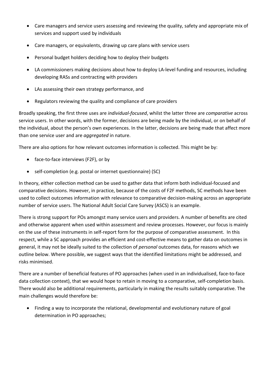- Care managers and service users assessing and reviewing the quality, safety and appropriate mix of services and support used by individuals
- Care managers, or equivalents, drawing up care plans with service users
- Personal budget holders deciding how to deploy their budgets
- LA commissioners making decisions about how to deploy LA-level funding and resources, including developing RASs and contracting with providers
- LAs assessing their own strategy performance, and
- Regulators reviewing the quality and compliance of care providers

Broadly speaking, the first three uses are *individual-focused*, whilst the latter three are *comparative* across service users. In other words, with the former, decisions are being made by the individual, or on behalf of the individual, about the person's own experiences. In the latter, decisions are being made that affect more than one service user and are *aggregated* in nature.

There are also options for how relevant outcomes information is collected. This might be by:

- face-to-face interviews (F2F), or by
- self-completion (e.g. postal or internet questionnaire) (SC)

In theory, either collection method can be used to gather data that inform both individual-focused and comparative decisions. However, in practice, because of the costs of F2F methods, SC methods have been used to collect outcomes information with relevance to comparative decision-making across an appropriate number of service users. The National Adult Social Care Survey (ASCS) is an example.

There is strong support for POs amongst many service users and providers. A number of benefits are cited and otherwise apparent when used within assessment and review processes. However, our focus is mainly on the use of these instruments in self-report form for the purpose of comparative assessment. In this respect, while a SC approach provides an efficient and cost-effective means to gather data on outcomes in general, it may not be ideally suited to the collection of *personal* outcomes data, for reasons which we outline below. Where possible, we suggest ways that the identified limitations might be addressed, and risks minimised.

There are a number of beneficial features of PO approaches (when used in an individualised, face-to-face data collection context), that we would hope to retain in moving to a comparative, self-completion basis. There would also be additional requirements, particularly in making the results suitably comparative. The main challenges would therefore be:

 Finding a way to incorporate the relational, developmental and evolutionary nature of goal determination in PO approaches;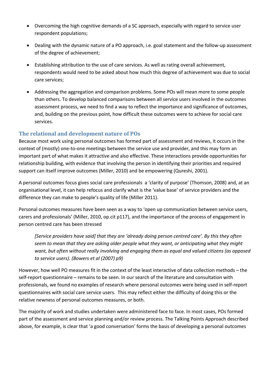- Overcoming the high cognitive demands of a SC approach, especially with regard to service user respondent populations;
- Dealing with the dynamic nature of a PO approach, i.e. goal statement and the follow-up assessment of the degree of achievement;
- Establishing attribution to the use of care services. As well as rating overall achievement, respondents would need to be asked about how much this degree of achievement was due to social care services;
- Addressing the aggregation and comparison problems. Some POs will mean more to some people than others. To develop balanced comparisons between all service users involved in the outcomes assessment process, we need to find a way to reflect the importance and significance of outcomes, and, building on the previous point, how difficult these outcomes were to achieve for social care services.

## **The relational and development nature of POs**

Because most work using personal outcomes has formed part of assessment and reviews, it occurs in the context of (mostly) one-to-one meetings between the service use and provider, and this may form an important part of what makes it attractive and also effective. These interactions provide opportunities for relationship building, with evidence that involving the person in identifying their priorities and required support can itself improve outcomes (Miller, 2010) and be empowering (Qureshi, 2001).

A personal outcomes focus gives social care professionals a 'clarity of purpose' (Thomson, 2008) and, at an organisational level, it can help refocus and clarify what is the 'value base' of service providers and the difference they can make to people's quality of life (Miller 2011).

Personal outcomes measures have been seen as a way to 'open up communication between service users, carers and professionals' (Miller, 2010, op.cit p117), and the importance of the process of engagement in person centred care has been stressed

*[Service providers have said] that they are 'already doing person centred care'. By this they often seem to mean that they are asking older people what they want, or anticipating what they might want, but often without really involving and engaging them as equal and valued citizens (as opposed to service users). (Bowers et al (2007) p9)* 

However, how well PO measures fit in the context of the least interactive of data collection methods – the self-report questionnaire – remains to be seen. In our search of the literature and consultation with professionals, we found no examples of research where personal outcomes were being used in self-report questionnaires with social care service users. This may reflect either the difficulty of doing this or the relative newness of personal outcomes measures, or both.

The majority of work and studies undertaken were administered face to face. In most cases, POs formed part of the assessment and service planning and/or review process. The Talking Points Approach described above, for example, is clear that 'a good conversation' forms the basis of developing a personal outcomes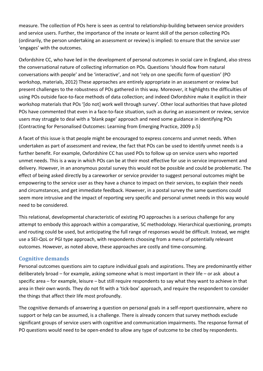measure. The collection of POs here is seen as central to relationship-building between service providers and service users. Further, the importance of the innate or learnt skill of the person collecting POs (ordinarily, the person undertaking an assessment or review) is implied: to ensure that the service user 'engages' with the outcomes.

Oxfordshire CC, who have led in the development of personal outcomes in social care in England, also stress the conversational nature of collecting information on POs. Questions 'should flow from natural conversations with people' and be 'interactive', and not 'rely on one specific form of question' (PO workshop, materials, 2012) These approaches are entirely appropriate in an assessment or review but present challenges to the robustness of POs gathered in this way. Moreover, it highlights the difficulties of using POs outside face-to-face methods of data collection; and indeed Oxfordshire make it explicit in their workshop materials that POs '[do not] work well through survey'. Other local authorities that have piloted POs have commented that even in a face-to-face situation, such as during an assessment or review, service users may struggle to deal with a 'blank page' approach and need some guidance in identifying POs (Contracting for Personalised Outcomes: Learning from Emerging Practice, 2009 p.5)

A facet of this issue is that people might be encouraged to express concerns and unmet needs. When undertaken as part of assessment and review, the fact that POs can be used to identify unmet needs is a further benefit. For example, Oxfordshire CC has used POs to follow up on service users who reported unmet needs. This is a way in which POs can be at their most effective for use in service improvement and delivery. However, in an anonymous postal survey this would not be possible and could be problematic. The effect of being asked directly by a careworker or service provider to suggest personal outcomes might be empowering to the service user as they have a chance to impact on their services, to explain their needs and circumstances, and get immediate feedback. However, in a postal survey the same questions could seem more intrusive and the impact of reporting very specific and personal unmet needs in this way would need to be considered.

This relational, developmental characteristic of existing PO approaches is a serious challenge for any attempt to embody this approach within a comparative, SC methodology. Hierarchical questioning, prompts and routing could be used, but anticipating the full range of responses would be difficult. Instead, we might use a SEI-QoL or PGI type approach, with respondents choosing from a menu of potentially relevant outcomes. However, as noted above, these approaches are costly and time-consuming.

## **Cognitive demands**

Personal outcomes questions aim to capture individual goals and aspirations. They are predominantly either deliberately broad – for example, asking someone what is most important in their life – or ask about a specific area – for example, leisure – but still require respondents to say what they want to achieve in that area in their own words. They do not fit with a 'tick-box' approach, and require the respondent to consider the things that affect their life most profoundly.

The cognitive demands of answering a question on personal goals in a self-report questionnaire, where no support or help can be assumed, is a challenge. There is already concern that survey methods exclude significant groups of service users with cognitive and communication impairments. The response format of PO questions would need to be open-ended to allow any type of outcome to be cited by respondents.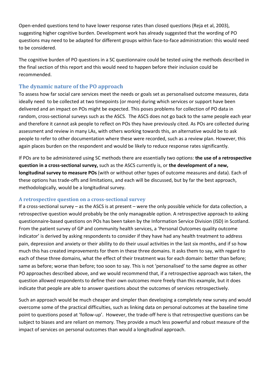Open-ended questions tend to have lower response rates than closed questions (Reja et al, 2003), suggesting higher cognitive burden. Development work has already suggested that the wording of PO questions may need to be adapted for different groups within face-to-face administration: this would need to be considered.

The cognitive burden of PO questions in a SC questionnaire could be tested using the methods described in the final section of this report and this would need to happen before their inclusion could be recommended.

#### **The dynamic nature of the PO approach**

To assess how far social care services meet the needs or goals set as personalised outcome measures, data ideally need to be collected at two timepoints (or more) during which services or support have been delivered and an impact on POs might be expected. This poses problems for collection of PO data in random, cross-sectional surveys such as the ASCS. The ASCS does not go back to the same people each year and therefore it cannot ask people to reflect on POs they have previously cited. As POs are collected during assessment and review in many LAs, with others working towards this, an alternative would be to ask people to refer to other documentation where these were recorded, such as a review plan. However, this again places burden on the respondent and would be likely to reduce response rates significantly.

If POs are to be administered using SC methods there are essentially two options: **the use of a retrospective question in a cross-sectional survey,** such as the ASCS currently is, or **the development of a new, longitudinal survey to measure POs** (with or without other types of outcome measures and data). Each of these options has trade-offs and limitations, and each will be discussed, but by far the best approach, methodologically, would be a longitudinal survey.

#### **A retrospective question on a cross-sectional survey**

If a cross-sectional survey – as the ASCS is at present – were the only possible vehicle for data collection, a retrospective question would probably be the only manageable option. A retrospective approach to asking questionnaire-based questions on POs has been taken by the Information Service Division (ISD) in Scotland. From the patient survey of GP and community health services, a 'Personal Outcomes quality outcome indicator' is derived by asking respondents to consider if they have had any health treatment to address pain, depression and anxiety or their ability to do their usual activities in the last six months, and if so how much this has created improvements for them in these three domains. It asks them to say, with regard to each of these three domains, what the effect of their treatment was for each domain: better than before; same as before; worse than before; too soon to say. This is not 'personalised' to the same degree as other PO approaches described above, and we would recommend that, if a retrospective approach was taken, the question allowed respondents to define their own outcomes more freely than this example, but it does indicate that people are able to answer questions about the outcomes of services retrospectively.

Such an approach would be much cheaper and simpler than developing a completely new survey and would overcome some of the practical difficulties, such as linking data on personal outcomes at the baseline time point to questions posed at 'follow-up'. However, the trade-off here is that retrospective questions can be subject to biases and are reliant on memory. They provide a much less powerful and robust measure of the impact of services on personal outcomes than would a longitudinal approach.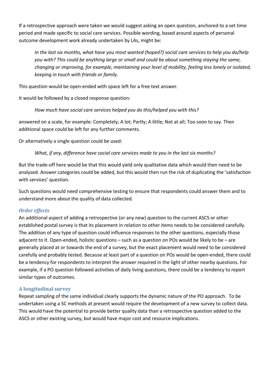If a retrospective approach were taken we would suggest asking an open question, anchored to a set time period and made specific to social care services. Possible wording, based around aspects of personal outcome development work already undertaken by LAs, might be:

*In the last six months, what have you most wanted (hoped?) social care services to help you do/help you with? This could be anything large or small and could be about something staying the same, changing or improving, for example, maintaining your level of mobility, feeling less lonely or isolated, keeping in touch with friends or family.* 

This question would be open-ended with space left for a free text answer.

It would be followed by a closed response question:

*How much have social care services helped you do this/helped you with this?* 

answered on a scale, for example: Completely; A lot; Partly; A little; Not at all; Too soon to say. Then additional space could be left for any further comments.

Or alternatively a single question could be used:

*What, if any, difference have social care services made to you in the last six months?* 

But the trade-off here would be that this would yield only qualitative data which would then need to be analysed. Answer categories could be added, but this would then run the risk of duplicating the 'satisfaction with services' question.

Such questions would need comprehensive testing to ensure that respondents could answer them and to understand more about the quality of data collected.

#### *Order effects*

An additional aspect of adding a retrospective (or any new) question to the current ASCS or other established postal survey is that its placement in relation to other items needs to be considered carefully. The addition of any type of question could influence responses to the other questions, especially those adjacent to it. Open-ended, holistic questions – such as a question on POs would be likely to be – are generally placed at or towards the end of a survey, but the exact placement would need to be considered carefully and probably tested. Because at least part of a question on POs would be open-ended, there could be a tendency for respondents to interpret the answer required in the light of other nearby questions. For example, if a PO question followed activities of daily living questions, there could be a tendency to report similar types of outcomes.

#### **A longitudinal survey**

Repeat sampling of the same individual clearly supports the dynamic nature of the PO approach. To be undertaken using a SC methods at present would require the development of a new survey to collect data. This would have the potential to provide better quality data than a retrospective question added to the ASCS or other existing survey, but would have major cost and resource implications.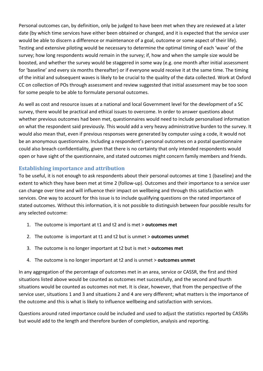Personal outcomes can, by definition, only be judged to have been met when they are reviewed at a later date (by which time services have either been obtained or changed, and it is expected that the service user would be able to discern a difference or maintenance of a goal, outcome or some aspect of their life). Testing and extensive piloting would be necessary to determine the optimal timing of each 'wave' of the survey; how long respondents would remain in the survey; if, how and when the sample size would be boosted, and whether the survey would be staggered in some way (e.g. one month after initial assessment for 'baseline' and every six months thereafter) or if everyone would receive it at the same time. The timing of the initial and subsequent waves is likely to be crucial to the quality of the data collected. Work at Oxford CC on collection of POs through assessment and review suggested that initial assessment may be too soon for some people to be able to formulate personal outcomes.

As well as cost and resource issues at a national and local Government level for the development of a SC survey, there would be practical and ethical issues to overcome. In order to answer questions about whether previous outcomes had been met, questionnaires would need to include personalised information on what the respondent said previously. This would add a very heavy administrative burden to the survey. It would also mean that, even if previous responses were generated by computer using a code, it would not be an anonymous questionnaire. Including a respondent's personal outcomes on a postal questionnaire could also breach confidentiality, given that there is no certainty that only intended respondents would open or have sight of the questionnaire, and stated outcomes might concern family members and friends.

#### **Establishing importance and attribution**

To be useful, it is not enough to ask respondents about their personal outcomes at time 1 (baseline) and the extent to which they have been met at time 2 (follow-up). Outcomes and their importance to a service user can change over time and will influence their impact on wellbeing and through this satisfaction with services. One way to account for this issue is to include qualifying questions on the rated importance of stated outcomes. Without this information, it is not possible to distinguish between four possible results for any selected outcome:

- 1. The outcome is important at t1 and t2 and is met > **outcomes met**
- 2. The outcome is important at t1 and t2 but is unmet > **outcomes unmet**
- 3. The outcome is no longer important at t2 but is met > **outcomes met**
- 4. The outcome is no longer important at t2 and is unmet > **outcomes unmet**

In any aggregation of the percentage of outcomes met in an area, service or CASSR, the first and third situations listed above would be counted as outcomes met successfully, and the second and fourth situations would be counted as outcomes not met. It is clear, however, that from the perspective of the service user, situations 1 and 3 and situations 2 and 4 are very different; what matters is the importance of the outcome and this is what is likely to influence wellbeing and satisfaction with services.

Questions around rated importance could be included and used to adjust the statistics reported by CASSRs but would add to the length and therefore burden of completion, analysis and reporting.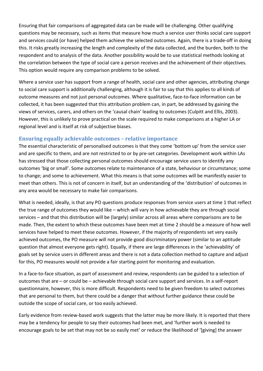Ensuring that fair comparisons of aggregated data can be made will be challenging. Other qualifying questions may be necessary, such as items that measure how much a service user thinks social care support and services could (or have) helped them achieve the selected outcomes. Again, there is a trade-off in doing this. It risks greatly increasing the length and complexity of the data collected, and the burden, both to the respondent and to analysis of the data. Another possibility would be to use statistical methods looking at the correlation between the type of social care a person receives and the achievement of their objectives. This option would require any comparison problems to be solved.

Where a service user has support from a range of health, social care and other agencies, attributing change to social care support is additionally challenging, although it is fair to say that this applies to all kinds of outcome measures and not just personal outcomes. Where qualitative, face-to-face information can be collected, it has been suggested that this attribution problem can, in part, be addressed by gaining the views of services, carers, and others on the 'causal chain' leading to outcomes (Culpitt and Ellis, 2003). However, this is unlikely to prove practical on the scale required to make comparisons at a higher LA or regional level and is itself at risk of subjective biases.

#### **Ensuring equally achievable outcomes – relative importance**

The essential characteristic of personalised outcomes is that they come 'bottom up' from the service user and are specific to them, and are not restricted to or by pre-set categories. Development work within LAs has stressed that those collecting personal outcomes should encourage service users to identify any outcomes 'big or small'. Some outcomes relate to maintenance of a state, behaviour or circumstance; some to change; and some to achievement. What this means is that some outcomes will be manifestly easier to meet than others. This is not of concern in itself, but an understanding of the 'distribution' of outcomes in any area would be necessary to make fair comparisons.

What is needed, ideally, is that any PO questions produce responses from service users at time 1 that reflect the true range of outcomes they would like – which will vary in how achievable they are through social services – and that this distribution will be (largely) similar across all areas where comparisons are to be made. Then, the extent to which these outcomes have been met at time 2 should be a measure of how well services have helped to meet these outcomes. However, if the majority of respondents set very easily achieved outcomes, the PO measure will not provide good discriminatory power (similar to an aptitude question that almost everyone gets right). Equally, if there are large differences in the 'achievability' of goals set by service users in different areas and there is not a data collection method to capture and adjust for this, PO measures would not provide a fair starting point for monitoring and evaluation.

In a face-to-face situation, as part of assessment and review, respondents can be guided to a selection of outcomes that are – or could be – achievable through social care support and services. In a self-report questionnaire, however, this is more difficult. Respondents need to be given freedom to select outcomes that are personal to them, but there could be a danger that without further guidance these could be outside the scope of social care, or too easily achieved.

Early evidence from review-based work suggests that the latter may be more likely. It is reported that there may be a tendency for people to say their outcomes had been met, and 'further work is needed to encourage goals to be set that may not be so easily met' or reduce the likelihood of '[giving] the answer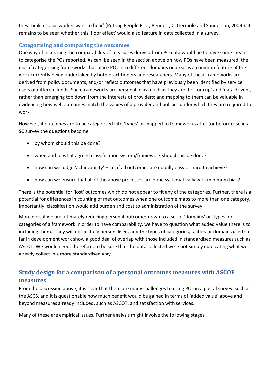they think a social worker want to hear' (Putting People First, Bennett, Cattermole and Sanderson, 2009 ). It remains to be seen whether this 'floor effect' would also feature in data collected in a survey.

#### **Categorising and comparing the outcomes**

One way of increasing the comparability of measures derived from PO data would be to have some means to categorise the POs reported. As can be seen in the section above on how POs have been measured, the use of categorising frameworks that place POs into different domains or areas is a common feature of the work currently being undertaken by both practitioners and researchers. Many of these frameworks are derived from policy documents, and/or reflect outcomes that have previously been identified by service users of different kinds. Such frameworks are personal in as much as they are 'bottom up' and 'data driven', rather than emerging top down from the interests of providers; and mapping to them can be valuable in evidencing how well outcomes match the values of a provider and policies under which they are required to work.

However, if outcomes are to be categorised into 'types' or mapped to frameworks after (or before) use in a SC survey the questions become:

- by whom should this be done?
- when and to what agreed classification system/framework should this be done?
- how can we judge 'achievability' i.e. if all outcomes are equally easy or hard to achieve?
- how can we ensure that all of the above processes are done systematically with minimum bias?

There is the potential for 'lost' outcomes which do not appear to fit any of the categories. Further, there is a potential for differences in counting of met outcomes when one outcome maps to more than one category. Importantly, classification would add burden and cost to administration of the survey.

Moreover, if we are ultimately reducing personal outcomes down to a set of 'domains' or 'types' or categories of a framework in order to have comparability, we have to question what added value there is to including them. They will not be fully personalised, and the types of categories, factors or domains used so far in development work show a good deal of overlap with those included in standardised measures such as ASCOT. We would need, therefore, to be sure that the data collected were not simply duplicating what we already collect in a more standardised way.

# **Study design for a comparison of a personal outcomes measures with ASCOF measures**

From the discussion above, it is clear that there are many challenges to using POs in a postal survey, such as the ASCS, and it is questionable how much benefit would be gained in terms of 'added value' above and beyond measures already included, such as ASCOT, and satisfaction with services.

Many of these are empirical issues. Further analysis might involve the following stages: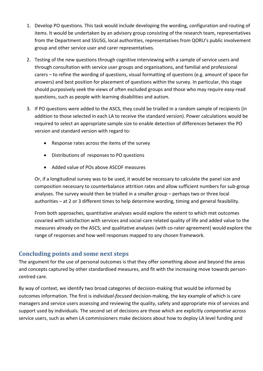- 1. Develop PO questions. This task would include developing the wording, configuration and routing of items. It would be undertaken by an advisory group consisting of the research team, representatives from the Department and SSUSG, local authorities, representatives from QORU's public involvement group and other service user and carer representatives.
- 2. Testing of the new questions through cognitive interviewing with a sample of service users and through consultation with service user groups and organisations, and familial and professional carers – to refine the wording of questions, visual formatting of questions (e.g. amount of space for answers) and best position for placement of questions within the survey. In particular, this stage should purposively seek the views of often excluded groups and those who may require easy-read questions, such as people with learning disabilities and autism.
- 3. If PO questions were added to the ASCS, they could be trialled in a random sample of recipients (in addition to those selected in each LA to receive the standard version). Power calculations would be required to select an appropriate sample size to enable detection of differences between the PO version and standard version with regard to:
	- Response rates across the items of the survey
	- Distributions of responses to PO questions
	- Added value of POs above ASCOF measures

Or, if a longitudinal survey was to be used, it would be necessary to calculate the panel size and composition necessary to counterbalance attrition rates and allow sufficient numbers for sub-group analyses. The survey would then be trialled in a smaller group – perhaps two or three local authorities – at 2 or 3 different times to help determine wording, timing and general feasibility.

From both approaches, quantitative analyses would explore the extent to which met outcomes covaried with satisfaction with services and social-care related quality of life and added value to the measures already on the ASCS; and qualitative analyses (with co-rater agreement) would explore the range of responses and how well responses mapped to any chosen framework.

## **Concluding points and some next steps**

The argument for the use of personal outcomes is that they offer something above and beyond the areas and concepts captured by other standardised measures, and fit with the increasing move towards personcentred care.

By way of context, we identify two broad categories of decision-making that would be informed by outcomes information. The first is *individual-focused* decision-making, the key example of which is care managers and service users assessing and reviewing the quality, safety and appropriate mix of services and support used by individuals. The second set of decisions are those which are explicitly *comparative* across service users, such as when LA commissioners make decisions about how to deploy LA level funding and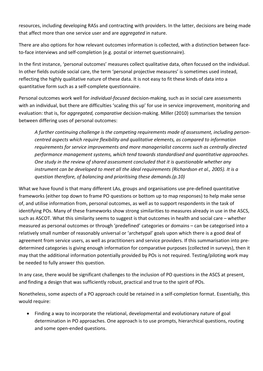resources, including developing RASs and contracting with providers. In the latter, decisions are being made that affect more than one service user and are *aggregated* in nature.

There are also options for how relevant outcomes information is collected, with a distinction between faceto-face interviews and self-completion (e.g. postal or internet questionnaire).

In the first instance, 'personal outcomes' measures collect qualitative data, often focused on the individual. In other fields outside social care, the term 'personal projective measures' is sometimes used instead, reflecting the highly qualitative nature of these data. It is not easy to fit these kinds of data into a quantitative form such as a self-complete questionnaire.

Personal outcomes work well for *individual-focused* decision-making, such as in social care assessments with an individual, but there are difficulties 'scaling this up' for use in service improvement, monitoring and evaluation: that is, for *aggregated, comparative* decision-making. Miller (2010) summarises the tension between differing uses of personal outcomes:

*A further continuing challenge is the competing requirements made of assessment, including personcentred aspects which require flexibility and qualitative elements, as compared to information requirements for service improvements and more managerialist concerns such as centrally directed performance management systems, which tend towards standardised and quantitative approaches. One study in the review of shared assessment concluded that it is questionable whether any instrument can be developed to meet all the ideal requirements (Richardson et al., 2005). It is a question therefore, of balancing and prioritising these demands.(p.10)* 

What we have found is that many different LAs, groups and organisations use pre-defined quantitative frameworks (either top down to frame PO questions or bottom up to map responses) to help make sense of, and utilise information from, personal outcomes, as well as to support respondents in the task of identifying POs. Many of these frameworks show strong similarities to measures already in use in the ASCS, such as ASCOT. What this similarity seems to suggest is that outcomes in health and social care – whether measured as personal outcomes or through 'predefined' categories or domains – can be categorised into a relatively small number of reasonably universal or 'archetypal' goals upon which there is a good deal of agreement from service users, as well as practitioners and service providers. If this summarisation into predetermined categories is giving enough information for comparative purposes (collected in surveys), then it may that the additional information potentially provided by POs is not required. Testing/piloting work may be needed to fully answer this question.

In any case, there would be significant challenges to the inclusion of PO questions in the ASCS at present, and finding a design that was sufficiently robust, practical and true to the spirit of POs.

Nonetheless, some aspects of a PO approach could be retained in a self-completion format. Essentially, this would require:

 Finding a way to incorporate the relational, developmental and evolutionary nature of goal determination in PO approaches. One approach is to use prompts, hierarchical questions, routing and some open-ended questions.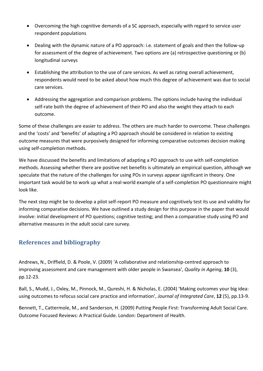- Overcoming the high cognitive demands of a SC approach, especially with regard to service user respondent populations
- Dealing with the dynamic nature of a PO approach: i.e. statement of goals and then the follow-up for assessment of the degree of achievement. Two options are (a) retrospective questioning or (b) longitudinal surveys
- Establishing the attribution to the use of care services. As well as rating overall achievement, respondents would need to be asked about how much this degree of achievement was due to social care services.
- Addressing the aggregation and comparison problems. The options include having the individual self-rate both the degree of achievement of their PO and also the weight they attach to each outcome.

Some of these challenges are easier to address. The others are much harder to overcome. These challenges and the 'costs' and 'benefits' of adapting a PO approach should be considered in relation to existing outcome measures that were purposively designed for informing comparative outcomes decision making using self-completion methods.

We have discussed the benefits and limitations of adapting a PO approach to use with self-completion methods. Assessing whether there are positive net benefits is ultimately an empirical question, although we speculate that the nature of the challenges for using POs in surveys appear significant in theory. One important task would be to work up what a real-world example of a self-completion PO questionnaire might look like.

The next step might be to develop a pilot self-report PO measure and cognitively test its use and validity for informing comparative decisions. We have outlined a study design for this purpose in the paper that would involve: initial development of PO questions; cognitive testing; and then a comparative study using PO and alternative measures in the adult social care survey.

# **References and bibliography**

Andrews, N., Driffield, D. & Poole, V. (2009) 'A collaborative and relationship-centred approach to improving assessment and care management with older people in Swansea', *Quality in Ageing*, **10** (3), pp.12-23.

Ball, S., Mudd, J., Oxley, M., Pinnock, M., Qureshi, H. & Nicholas, E. (2004) 'Making outcomes your big idea: using outcomes to refocus social care practice and information', *Journal of Integrated Care*, **12** (5), pp.13-9.

Bennett, T., Cattermole, M., and Sanderson, H. (2009) Putting People First: Transforming Adult Social Care. Outcome Focused Reviews: A Practical Guide. London: Department of Health.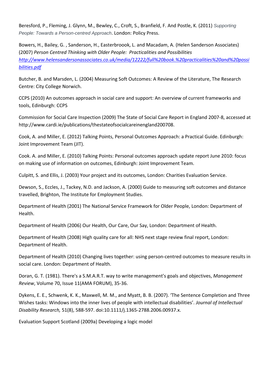Beresford, P., Fleming, J. Glynn, M., Bewley, C., Croft, S., Branfield, F. And Postle, K. (2011) *Supporting People: Towards a Person-centred Approach*. London: Policy Press.

Bowers, H., Bailey, G. , Sanderson, H., Easterbroook, L. and Macadam, A. (Helen Sanderson Associates) (2007) *Person Centred Thinking with Older People: Practicalities and Possibilities http://www.helensandersonassociates.co.uk/media/12222/full%20book.%20practicalities%20and%20possi bilities.pdf*

Butcher, B. and Marsden, L. (2004) Measuring Soft Outcomes: A Review of the Literature, The Research Centre: City College Norwich.

CCPS (2010) An outcomes approach in social care and support: An overview of current frameworks and tools, Edinburgh: CCPS

Commission for Social Care Inspection (2009) The State of Social Care Report in England 2007-8, accessed at http://www.cardi.ie/publications/thestateofsocialcareinengland200708.

Cook, A. and Miller, E. (2012) Talking Points, Personal Outcomes Approach: a Practical Guide. Edinburgh: Joint Improvement Team (JIT).

Cook. A. and Miller, E. (2010) Talking Points: Personal outcomes approach update report June 2010: focus on making use of information on outcomes, Edinburgh: Joint Improvement Team.

Culpitt, S. and Ellis, J. (2003) Your project and its outcomes, London: Charities Evaluation Service.

Dewson, S., Eccles, J., Tackey, N.D. and Jackson, A. (2000) Guide to measuring soft outcomes and distance travelled, Brighton, The Institute for Employment Studies.

Department of Health (2001) The National Service Framework for Older People, London: Department of Health.

Department of Health (2006) Our Health, Our Care, Our Say, London: Department of Health.

Department of Health (2008) High quality care for all: NHS next stage review final report, London: Department of Health.

Department of Health (2010) Changing lives together: using person-centred outcomes to measure results in social care. London: Department of Health.

Doran, G. T. (1981). There's a S.M.A.R.T. way to write management's goals and objectives, *Management Review*, Volume 70, Issue 11(AMA FORUM), 35-36.

Dykens, E. E., Schwenk, K. K., Maxwell, M. M., and Myatt, B. B. (2007). 'The Sentence Completion and Three Wishes tasks: Windows into the inner lives of people with intellectual disabilities'. *Journal of Intellectual Disability Research,* 51(8), 588-597. doi:10.1111/j.1365-2788.2006.00937.x.

Evaluation Support Scotland (2009a) Developing a logic model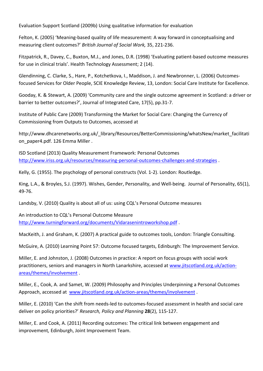Evaluation Support Scotland (2009b) Using qualitative information for evaluation

Felton, K. (2005) 'Meaning-based quality of life measurement: A way forward in conceptualising and measuring client outcomes?' *British Journal of Social Work,* 35, 221-236.

Fitzpatrick, R., Davey, C., Buxton, M.J., and Jones, D.R. (1998) 'Evaluating patient-based outcome measures for use in clinical trials'. Health Technology Assessment; 2 (14).

Glendinning, C. Clarke, S., Hare, P., Kotchetkova, I., Maddison, J. and Newbronner, L. (2006) Outcomesfocused Services for Older People, SCIE Knowledge Review, 13, London: Social Care Institute for Excellence.

Gooday, K. & Stewart, A. (2009) 'Community care and the single outcome agreement in Scotland: a driver or barrier to better outcomes?', Journal of Integrated Care, 17(5), pp.31-7.

Institute of Public Care (2009) Transforming the Market for Social Care: Changing the Currency of Commissioning from Outputs to Outcomes, accessed at

http://www.dhcarenetworks.org.uk/ library/Resources/BetterCommissioning/whatsNew/market\_facilitati on paper4.pdf. 126 Emma Miller .

ISD Scotland (2013) Quality Measurement Framework: Personal Outcomes http://www.iriss.org.uk/resources/measuring-personal-outcomes-challenges-and-strategies .

Kelly, G. (1955). The psychology of personal constructs (Vol. 1-2). London: Routledge.

King, L.A., & Broyles, S.J. (1997). Wishes, Gender, Personality, and Well-being. Journal of Personality, 65(1), 49-76.

Landsby, V. (2010) Quality is about all of us: using CQL's Personal Outcome measures

An introduction to CQL's Personal Outcome Measure http://www.turningforward.org/documents/Vidarasenintroworkshop.pdf .

MacKeith, J. and Graham, K. (2007) A practical guide to outcomes tools, London: Triangle Consulting.

McGuire, A. (2010) Learning Point 57: Outcome focused targets, Edinburgh: The Improvement Service.

Miller, E. and Johnston, J. (2008) Outcomes in practice: A report on focus groups with social work practitioners, seniors and managers in North Lanarkshire, accessed at www.jitscotland.org.uk/actionareas/themes/involvement .

Miller, E., Cook, A. and Samet, W. (2009) Philosophy and Principles Underpinning a Personal Outcomes Approach, accessed at www.jitscotland.org.uk/action-areas/themes/involvement .

Miller, E. (2010) 'Can the shift from needs-led to outcomes-focused assessment in health and social care deliver on policy priorities?' *Research, Policy and Planning* **28**(2), 115-127.

Miller, E. and Cook, A. (2011) Recording outcomes: The critical link between engagement and improvement*,* Edinburgh, Joint Improvement Team.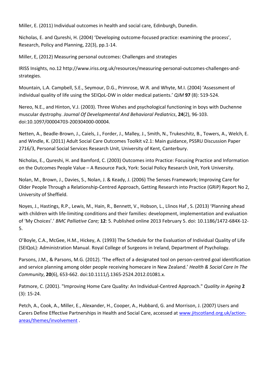Miller, E. (2011) Individual outcomes in health and social care*,* Edinburgh, Dunedin.

Nicholas, E. and Qureshi, H. (2004) 'Developing outcome-focused practice: examining the process', Research, Policy and Planning, 22(3), pp.1-14.

Miller, E, (2012) Measuring personal outcomes: Challenges and strategies

IRISS Insights, no.12 http://www.iriss.org.uk/resources/measuring-personal-outcomes-challenges-andstrategies.

Mountain, L.A. Campbell, S.E., Seymour, D.G., Primrose, W.R. and Whyte, M.I. (2004) 'Assessment of individual quality of life using the SEIQoL-DW in older medical patients.' *QJM* **97** (8): 519-524.

Nereo, N.E., and Hinton, V.J. (2003). Three Wishes and psychological functioning in boys with Duchenne muscular dystrophy. *Journal Of Developmental And Behavioral Pediatrics*, **24**(2), 96-103. doi:10.1097/00004703-200304000-00004.

Netten, A., Beadle-Brown, J., Caiels, J., Forder, J., Malley, J., Smith, N., Trukeschitz, B., Towers, A., Welch, E. and Windle, K. (2011) Adult Social Care Outcomes Toolkit v2.1: Main guidance, PSSRU Discussion Paper 2716/3, Personal Social Services Research Unit, University of Kent, Canterbury.

Nicholas, E., Qureshi, H. and Bamford, C. (2003) Outcomes into Practice: Focusing Practice and Information on the Outcomes People Value – A Resource Pack, York: Social Policy Research Unit, York University.

Nolan, M., Brown, J., Davies, S., Nolan, J. & Keady, J. (2006) The Senses Framework; Improving Care for Older People Through a Relationship-Centred Approach, Getting Research into Practice (GRiP) Report No 2, University of Sheffield.

Noyes, J., Hastings, R.P., Lewis, M., Hain, R., Bennett, V., Hobson, L., Llinos Haf , S. (2013) 'Planning ahead with children with life-limiting conditions and their families: development, implementation and evaluation of 'My Choices'.' *BMC Palliative Care;* **12**: 5. Published online 2013 February 5. doi: 10.1186/1472-684X-12- 5.

O'Boyle, C.A., McGee, H.M., Hickey, A. (1993) The Schedule for the Evaluation of Individual Quality of Life (SEIQoL): Administration Manual. Royal College of Surgeons in Ireland, Department of Psychology.

Parsons, J.M., & Parsons, M.G. (2012). 'The effect of a designated tool on person‐centred goal identification and service planning among older people receiving homecare in New Zealand.' *Health & Social Care In The Community*, **20**(6), 653-662. doi:10.1111/j.1365-2524.2012.01081.x.

Patmore, C. (2001). "Improving Home Care Quality: An Individual-Centred Approach." *Quality in Ageing* **2** (3): 15-24.

Petch, A., Cook, A., Miller, E., Alexander, H., Cooper, A., Hubbard, G. and Morrison, J. (2007) Users and Carers Define Effective Partnerships in Health and Social Care, accessed at www.jitscotland.org.uk/actionareas/themes/involvement .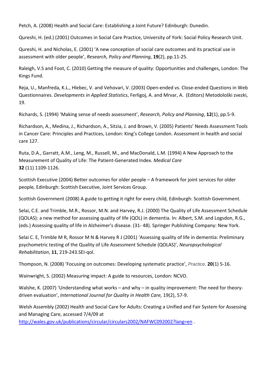Petch, A. (2008) Health and Social Care: Establishing a Joint Future? Edinburgh: Dunedin.

Qureshi, H. (ed.) (2001) Outcomes in Social Care Practice, University of York: Social Policy Research Unit.

Qureshi, H. and Nicholas, E. (2001) 'A new conception of social care outcomes and its practical use in assessment with older people', *Research, Policy and Planning*, **19**(2), pp.11-25.

Raleigh, V.S and Foot, C. (2010) Getting the measure of quality: Opportunities and challenges, London: The Kings Fund.

Reja, U., Manfreda, K.L., Hlebec, V. and Vehovari, V. (2003) Open-ended vs. Close-ended Questions in Web Questionnaires. *Developments in Applied Statistics*, Ferligoj, A. and Mrvar, A. (Editors) Metodološki zvezki, 19.

Richards, S. (1994) 'Making sense of needs assessment', *Research, Policy and Planning*, **12**(1), pp.5-9.

Richardson, A., Medina, J., Richardson, A., Sitzia, J. and Brown, V. (2005) Patients' Needs Assessment Tools in Cancer Care: Principles and Practices, London: King's College London. Assessment in health and social care 127.

Ruta, D.A., Garratt, A.M., Leng, M., Russell, M., and MacDonald, L.M. (1994) A New Approach to the Measurement of Quality of Life: The Patient-Generated Index. *Medical Care* **32** (11) 1109-1126.

Scottish Executive (2004) Better outcomes for older people – A framework for joint services for older people*,* Edinburgh: Scottish Executive, Joint Services Group.

Scottish Government (2008) A guide to getting it right for every child*,* Edinburgh: Scottish Government.

Selai, C.E. and Trimble, M.R., Rossor, M.N. and Harvey, R.J. (2000) The Quality of Life Assessment Schedule (QOLAS): a new method for assessing quality of life (QOL) in dementia. In: Albert, S.M. and Logsdon, R.G., (eds.) Assessing quality of life in Alzheimer's disease. (31- 48). Springer Publishing Company: New York.

Selai C. E, Trimble M R, Rossor M N & Harvey R J (2001) 'Assessing quality of life in dementia: Preliminary psychometric testing of the Quality of Life Assessment Schedule (QOLAS)', *Neuropsychological Rehabilitation*, **11**, 219-243.SEI-qol.

Thompson, N. (2008) 'Focusing on outcomes: Developing systematic practice', *Practice,* **20**(1) 5-16.

Wainwright, S. (2002) Measuring impact: A guide to resources, London: NCVO.

Walshe, K. (2007) 'Understanding what works – and why – in quality improvement: The need for theorydriven evaluation', *International Journal for Quality in Health Care,* 19(2), 57-9.

Welsh Assembly (2002) Health and Social Care for Adults: Creating a Unified and Fair System for Assessing and Managing Care, accessed 7/4/09 at

http://wales.gov.uk/publications/circular/circulars2002/NAFWC092002?lang=en .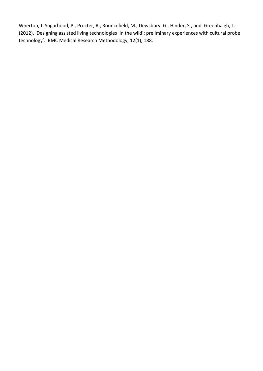Wherton, J. Sugarhood, P., Procter, R., Rouncefield, M., Dewsbury, G., Hinder, S., and Greenhalgh, T. (2012). 'Designing assisted living technologies 'in the wild': preliminary experiences with cultural probe technology'. BMC Medical Research Methodology, 12(1), 188.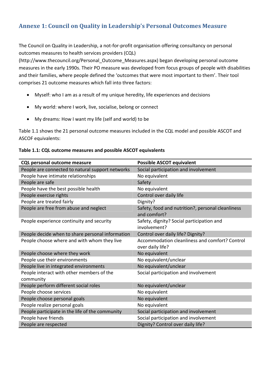# **Annexe 1: Council on Quality in Leadership's Personal Outcomes Measure**

The Council on Quality in Leadership, a not-for-profit organisation offering consultancy on personal outcomes measures to health services providers (CQL)

(http://www.thecouncil.org/Personal\_Outcome\_Measures.aspx) began developing personal outcome measures in the early 1990s. Their PO measure was developed from focus groups of people with disabilities and their families, where people defined the 'outcomes that were most important to them'. Their tool comprises 21 outcome measures which fall into three factors:

- Myself: who I am as a result of my unique heredity, life experiences and decisions
- My world: where I work, live, socialise, belong or connect
- My dreams: How I want my life (self and world) to be

Table 1.1 shows the 21 personal outcome measures included in the CQL model and possible ASCOT and ASCOF equivalents:

| Table 1.1: CQL outcome measures and possible ASCOT equivalents |  |  |
|----------------------------------------------------------------|--|--|
|----------------------------------------------------------------|--|--|

| <b>CQL personal outcome measure</b>                    | <b>Possible ASCOT equivalent</b>                                   |
|--------------------------------------------------------|--------------------------------------------------------------------|
| People are connected to natural support networks       | Social participation and involvement                               |
| People have intimate relationships                     | No equivalent                                                      |
| People are safe                                        | Safety                                                             |
| People have the best possible health                   | No equivalent                                                      |
| People exercise rights                                 | Control over daily life                                            |
| People are treated fairly                              | Dignity?                                                           |
| People are free from abuse and neglect                 | Safety, food and nutrition?, personal cleanliness<br>and comfort?  |
| People experience continuity and security              | Safety, dignity? Social participation and<br>involvement?          |
| People decide when to share personal information       | Control over daily life? Dignity?                                  |
| People choose where and with whom they live            | Accommodation cleanliness and comfort? Control<br>over daily life? |
| People choose where they work                          | No equivalent                                                      |
| People use their environments                          | No equivalent/unclear                                              |
| People live in integrated environments                 | No equivalent/unclear                                              |
| People interact with other members of the<br>community | Social participation and involvement                               |
| People perform different social roles                  | No equivalent/unclear                                              |
| People choose services                                 | No equivalent                                                      |
| People choose personal goals                           | No equivalent                                                      |
| People realize personal goals                          | No equivalent                                                      |
| People participate in the life of the community        | Social participation and involvement                               |
| People have friends                                    | Social participation and involvement                               |
| People are respected                                   | Dignity? Control over daily life?                                  |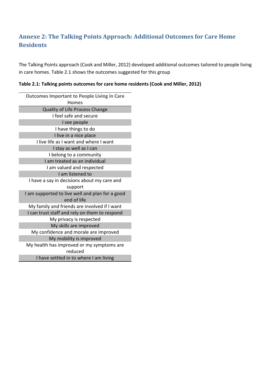# **Annexe 2: The Talking Points Approach: Additional Outcomes for Care Home Residents**

The Talking Points approach (Cook and Miller, 2012) developed additional outcomes tailored to people living in care homes. Table 2.1 shows the outcomes suggested for this group

| Table 2.1: Talking points outcomes for care home residents (Cook and Miller, 2012) |  |  |  |
|------------------------------------------------------------------------------------|--|--|--|
|------------------------------------------------------------------------------------|--|--|--|

| <b>Outcomes Important to People Living in Care</b> |
|----------------------------------------------------|
| <b>Homes</b>                                       |
| Quality of Life Process Change                     |
| I feel safe and secure                             |
| I see people                                       |
| I have things to do                                |
| I live in a nice place                             |
| I live life as I want and where I want             |
| I stay as well as I can                            |
| I belong to a community                            |
| I am treated as an individual                      |
| I am valued and respected                          |
| I am listened to                                   |
| I have a say in decisions about my care and        |
| support                                            |
| I am supported to live well and plan for a good    |
| end of life                                        |
| My family and friends are involved if I want       |
| I can trust staff and rely on them to respond      |
| My privacy is respected                            |
| My skills are improved                             |
| My confidence and morale are improved              |
| My mobility is improved                            |
| My health has improved or my symptoms are          |
| reduced                                            |
| I have settled in to where I am living             |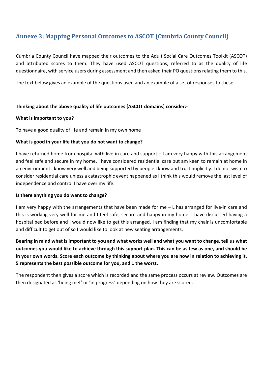# **Annexe 3: Mapping Personal Outcomes to ASCOT (Cumbria County Council)**

Cumbria County Council have mapped their outcomes to the Adult Social Care Outcomes Toolkit (ASCOT) and attributed scores to them. They have used ASCOT questions, referred to as the quality of life questionnaire, with service users during assessment and then asked their PO questions relating them to this.

The text below gives an example of the questions used and an example of a set of responses to these.

#### **Thinking about the above quality of life outcomes [ASCOT domains] consider:-**

#### **What is important to you?**

To have a good quality of life and remain in my own home

#### **What is good in your life that you do not want to change?**

I have returned home from hospital with live-in care and support – I am very happy with this arrangement and feel safe and secure in my home. I have considered residential care but am keen to remain at home in an environment I know very well and being supported by people I know and trust implicitly. I do not wish to consider residential care unless a catastrophic event happened as I think this would remove the last level of independence and control I have over my life.

#### **Is there anything you do want to change?**

I am very happy with the arrangements that have been made for me – L has arranged for live-in care and this is working very well for me and I feel safe, secure and happy in my home. I have discussed having a hospital bed before and I would now like to get this arranged. I am finding that my chair is uncomfortable and difficult to get out of so I would like to look at new seating arrangements.

**Bearing in mind what is important to you and what works well and what you want to change, tell us what outcomes you would like to achieve through this support plan. This can be as few as one, and should be in your own words. Score each outcome by thinking about where you are now in relation to achieving it. 5 represents the best possible outcome for you, and 1 the worst.** 

The respondent then gives a score which is recorded and the same process occurs at review. Outcomes are then designated as 'being met' or 'in progress' depending on how they are scored.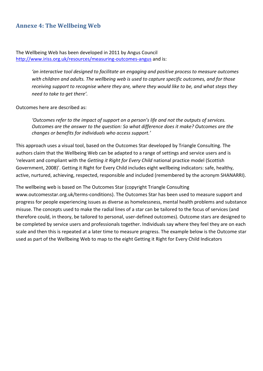# **Annexe 4: The Wellbeing Web**

The Wellbeing Web has been developed in 2011 by Angus Council http://www.iriss.org.uk/resources/measuring-outcomes-angus and is:

> *'an interactive tool designed to facilitate an engaging and positive process to measure outcomes with children and adults. The wellbeing web is used to capture specific outcomes, and for those receiving support to recognise where they are, where they would like to be, and what steps they need to take to get there'.*

Outcomes here are described as:

*'Outcomes refer to the impact of support on a person's life and not the outputs of services. Outcomes are the answer to the question: So what difference does it make? Outcomes are the changes or benefits for individuals who access support.'* 

This approach uses a visual tool, based on the Outcomes Star developed by Triangle Consulting. The authors claim that the Wellbeing Web can be adapted to a range of settings and service users and is 'relevant and compliant with the *Getting it Right for Every Child* national practice model (Scottish Government, 2008)'. Getting it Right for Every Child includes eight wellbeing indicators: safe, healthy, active, nurtured, achieving, respected, responsible and included (remembered by the acronym SHANARRI).

The wellbeing web is based on The Outcomes Star (copyright Triangle Consulting www.outcomesstar.org.uk/terms-conditions). The Outcomes Star has been used to measure support and progress for people experiencing issues as diverse as homelessness, mental health problems and substance misuse. The concepts used to make the radial lines of a star can be tailored to the focus of services (and therefore could, in theory, be tailored to personal, user-defined outcomes). Outcome stars are designed to be completed by service users and professionals together. Individuals say where they feel they are on each scale and then this is repeated at a later time to measure progress. The example below is the Outcome star used as part of the Wellbeing Web to map to the eight Getting it Right for Every Child Indicators